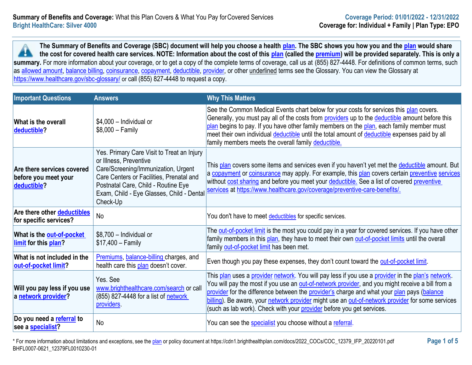**The Summary of Benefits and Coverage (SBC) document will help you choose a health [plan.](https://www.healthcare.gov/sbc-glossary/#plan) The SBC shows you how you and the [plan](https://www.healthcare.gov/sbc-glossary/#plan) would share the cost for covered health care services. NOTE: Information about the cost of this [plan](https://www.healthcare.gov/sbc-glossary/#plan) (called the [premium\)](https://www.healthcare.gov/sbc-glossary/#premium) will be provided separately. This is only a**  x summary. For more information about your coverage, or to get a copy of the complete terms of coverage, call us at (855) 827-4448. For definitions of common terms, such as [allowed amount,](https://www.healthcare.gov/sbc-glossary/#allowed-amount) [balance billing,](https://www.healthcare.gov/sbc-glossary/#balance-billing) [coinsurance,](https://www.healthcare.gov/sbc-glossary/#coinsurance) [copayment,](https://www.healthcare.gov/sbc-glossary/#copayment) [deductible,](https://www.healthcare.gov/sbc-glossary/#deductible) [provider,](https://www.healthcare.gov/sbc-glossary/#provider) or other underlined terms see the Glossary. You can view the Glossary at <https://www.healthcare.gov/sbc-glossary/> or call (855) 827-4448 to request a copy.

| <b>Important Questions</b>                                        | <b>Answers</b>                                                                                                                                                                                                                                          | <b>Why This Matters</b>                                                                                                                                                                                                                                                                                                                                                                                                                                                          |
|-------------------------------------------------------------------|---------------------------------------------------------------------------------------------------------------------------------------------------------------------------------------------------------------------------------------------------------|----------------------------------------------------------------------------------------------------------------------------------------------------------------------------------------------------------------------------------------------------------------------------------------------------------------------------------------------------------------------------------------------------------------------------------------------------------------------------------|
| <b>What is the overall</b><br>deductible?                         | $$4,000$ - Individual or<br>$$8,000 - Family$                                                                                                                                                                                                           | See the Common Medical Events chart below for your costs for services this plan covers.<br>Generally, you must pay all of the costs from providers up to the deductible amount before this<br>plan begins to pay. If you have other family members on the plan, each family member must<br>meet their own individual deductible until the total amount of deductible expenses paid by all<br>family members meets the overall family deductible.                                 |
| Are there services covered<br>before you meet your<br>deductible? | Yes. Primary Care Visit to Treat an Injury<br>or Illness, Preventive<br>Care/Screening/Immunization, Urgent<br>Care Centers or Facilities, Prenatal and<br>Postnatal Care, Child - Routine Eye<br>Exam, Child - Eye Glasses, Child - Dental<br>Check-Up | This plan covers some items and services even if you haven't yet met the <b>deductible</b> amount. But<br>a copayment or coinsurance may apply. For example, this plan covers certain preventive services<br>without cost sharing and before you meet your deductible. See a list of covered preventive<br>services at https://www.healthcare.gov/coverage/preventive-care-benefits/.                                                                                            |
| Are there other deductibles<br>for specific services?             | No                                                                                                                                                                                                                                                      | You don't have to meet deductibles for specific services.                                                                                                                                                                                                                                                                                                                                                                                                                        |
| What is the <b>out-of-pocket</b><br><b>limit</b> for this plan?   | \$8,700 - Individual or<br>$$17,400 - Family$                                                                                                                                                                                                           | The out-of-pocket limit is the most you could pay in a year for covered services. If you have other<br>family members in this plan, they have to meet their own out-of-pocket limits until the overall<br>family out-of-pocket limit has been met.                                                                                                                                                                                                                               |
| What is not included in the<br>out-of-pocket limit?               | Premiums, balance-billing charges, and<br>health care this plan doesn't cover.                                                                                                                                                                          | Even though you pay these expenses, they don't count toward the out-of-pocket limit.                                                                                                                                                                                                                                                                                                                                                                                             |
| Will you pay less if you use<br>a network provider?               | Yes. See<br>www.brighthealthcare.com/search or call<br>(855) 827-4448 for a list of network<br>providers.                                                                                                                                               | This plan uses a provider network. You will pay less if you use a provider in the plan's network.<br>You will pay the most if you use an out-of-network provider, and you might receive a bill from a<br>provider for the difference between the provider's charge and what your plan pays (balance<br>billing). Be aware, your network provider might use an out-of-network provider for some services<br>(such as lab work). Check with your provider before you get services. |
| Do you need a referral to<br>see a <b>specialist</b> ?            | No                                                                                                                                                                                                                                                      | You can see the specialist you choose without a referral.                                                                                                                                                                                                                                                                                                                                                                                                                        |

\* For more information about limitations and exceptions, see the [plan](https://www.healthcare.gov/sbc-glossary/#plan) or policy document at https://cdn1.brighthealthplan.com/docs/2022\_COCs/COC\_12379\_IFP\_20220101.pdf **Page 1 of 5** BHFL0007-0621\_12379FL0010230-01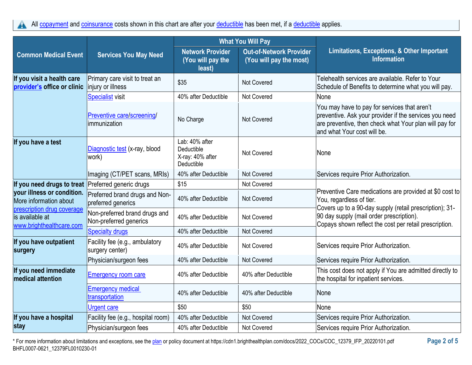All [copayment](https://www.healthcare.gov/sbc-glossary/#copayment) and [coinsurance](https://www.healthcare.gov/sbc-glossary/#coinsurance) costs shown in this chart are after your [deductible](https://www.healthcare.gov/sbc-glossary/#deductible) has been met, if a deductible applies. A

|                                                                           |                                                         | <b>What You Will Pay</b>                                       |                                                           |                                                                                                                                                                                                  |
|---------------------------------------------------------------------------|---------------------------------------------------------|----------------------------------------------------------------|-----------------------------------------------------------|--------------------------------------------------------------------------------------------------------------------------------------------------------------------------------------------------|
| <b>Common Medical Event</b>                                               | <b>Services You May Need</b>                            | <b>Network Provider</b><br>(You will pay the<br>least)         | <b>Out-of-Network Provider</b><br>(You will pay the most) | Limitations, Exceptions, & Other Important<br><b>Information</b>                                                                                                                                 |
| If you visit a health care<br>provider's office or clinic                 | Primary care visit to treat an<br>injury or illness     | \$35                                                           | Not Covered                                               | Telehealth services are available. Refer to Your<br>Schedule of Benefits to determine what you will pay.                                                                                         |
|                                                                           | <b>Specialist visit</b>                                 | 40% after Deductible                                           | <b>Not Covered</b>                                        | None                                                                                                                                                                                             |
|                                                                           | Preventive care/screening/<br>immunization              | No Charge                                                      | <b>Not Covered</b>                                        | You may have to pay for services that aren't<br>preventive. Ask your provider if the services you need<br>are preventive, then check what Your plan will pay for<br>land what Your cost will be. |
| If you have a test                                                        | Diagnostic test (x-ray, blood<br>work)                  | Lab: 40% after<br>Deductible<br>X-ray: 40% after<br>Deductible | Not Covered                                               | None                                                                                                                                                                                             |
|                                                                           | Imaging (CT/PET scans, MRIs)                            | 40% after Deductible                                           | <b>Not Covered</b>                                        | Services require Prior Authorization.                                                                                                                                                            |
| If you need drugs to treat                                                | Preferred generic drugs                                 | \$15                                                           | Not Covered                                               |                                                                                                                                                                                                  |
| your illness or condition.<br>More information about                      | Preferred brand drugs and Non-<br>preferred generics    | 40% after Deductible                                           | Not Covered                                               | Preventive Care medications are provided at \$0 cost to<br>You, regardless of tier.                                                                                                              |
| prescription drug coverage<br>is available at<br>www.brighthealthcare.com | Non-preferred brand drugs and<br>Non-preferred generics | 40% after Deductible                                           | <b>Not Covered</b>                                        | Covers up to a 90-day supply (retail prescription); 31-<br>90 day supply (mail order prescription).<br>Copays shown reflect the cost per retail prescription.                                    |
|                                                                           | <b>Specialty drugs</b>                                  | 40% after Deductible                                           | Not Covered                                               |                                                                                                                                                                                                  |
| If you have outpatient<br>surgery                                         | Facility fee (e.g., ambulatory<br>surgery center)       | 40% after Deductible                                           | Not Covered                                               | Services require Prior Authorization.                                                                                                                                                            |
|                                                                           | Physician/surgeon fees                                  | 40% after Deductible                                           | Not Covered                                               | Services require Prior Authorization.                                                                                                                                                            |
| If you need immediate<br>medical attention                                | <b>Emergency room care</b>                              | 40% after Deductible                                           | 40% after Deductible                                      | This cost does not apply if You are admitted directly to<br>the hospital for inpatient services.                                                                                                 |
|                                                                           | <b>Emergency medical</b><br>transportation              | 40% after Deductible                                           | 40% after Deductible                                      | None                                                                                                                                                                                             |
|                                                                           | Urgent care                                             | \$50                                                           | \$50                                                      | None                                                                                                                                                                                             |
| If you have a hospital                                                    | Facility fee (e.g., hospital room)                      | 40% after Deductible                                           | Not Covered                                               | Services require Prior Authorization.                                                                                                                                                            |
| stay                                                                      | Physician/surgeon fees                                  | 40% after Deductible                                           | Not Covered                                               | Services require Prior Authorization.                                                                                                                                                            |

\* For more information about limitations and exceptions, see the [plan](https://www.healthcare.gov/sbc-glossary/#plan) or policy document at https://cdn1.brighthealthplan.com/docs/2022\_COCs/COC\_12379\_IFP\_20220101.pdf **Page 2 of 5** BHFL0007-0621\_12379FL0010230-01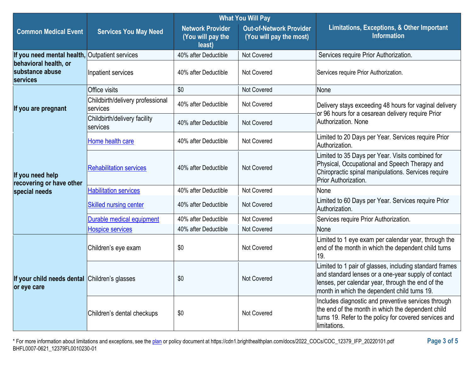|                                                              |                                              | <b>What You Will Pay</b>                               |                                                           |                                                                                                                                                                                                                     |  |
|--------------------------------------------------------------|----------------------------------------------|--------------------------------------------------------|-----------------------------------------------------------|---------------------------------------------------------------------------------------------------------------------------------------------------------------------------------------------------------------------|--|
| <b>Common Medical Event</b>                                  | <b>Services You May Need</b>                 | <b>Network Provider</b><br>(You will pay the<br>least) | <b>Out-of-Network Provider</b><br>(You will pay the most) | Limitations, Exceptions, & Other Important<br><b>Information</b>                                                                                                                                                    |  |
| If you need mental health, Outpatient services               |                                              | 40% after Deductible                                   | <b>Not Covered</b>                                        | Services require Prior Authorization.                                                                                                                                                                               |  |
| behavioral health, or<br>substance abuse<br>services         | Inpatient services                           | 40% after Deductible                                   | <b>Not Covered</b>                                        | Services require Prior Authorization.                                                                                                                                                                               |  |
|                                                              | <b>Office visits</b>                         | \$0                                                    | <b>Not Covered</b>                                        | None                                                                                                                                                                                                                |  |
| If you are pregnant                                          | Childbirth/delivery professional<br>services | 40% after Deductible                                   | Not Covered                                               | Delivery stays exceeding 48 hours for vaginal delivery<br>or 96 hours for a cesarean delivery require Prior                                                                                                         |  |
|                                                              | Childbirth/delivery facility<br>services     | 40% after Deductible                                   | <b>Not Covered</b>                                        | Authorization. None                                                                                                                                                                                                 |  |
|                                                              | Home health care                             | 40% after Deductible                                   | Not Covered                                               | Limited to 20 Days per Year. Services require Prior<br>Authorization.                                                                                                                                               |  |
| If you need help<br>recovering or have other                 | <b>Rehabilitation services</b>               | 40% after Deductible                                   | <b>Not Covered</b>                                        | Limited to 35 Days per Year. Visits combined for<br>Physical, Occupational and Speech Therapy and<br>Chiropractic spinal manipulations. Services require<br>Prior Authorization.                                    |  |
| special needs                                                | <b>Habilitation services</b>                 | 40% after Deductible                                   | Not Covered                                               | None                                                                                                                                                                                                                |  |
|                                                              | <b>Skilled nursing center</b>                | 40% after Deductible                                   | <b>Not Covered</b>                                        | Limited to 60 Days per Year. Services require Prior<br>Authorization.                                                                                                                                               |  |
|                                                              | Durable medical equipment                    | 40% after Deductible                                   | Not Covered                                               | Services require Prior Authorization.                                                                                                                                                                               |  |
|                                                              | <b>Hospice services</b>                      | 40% after Deductible                                   | Not Covered                                               | None                                                                                                                                                                                                                |  |
|                                                              | Children's eye exam                          | \$0                                                    | <b>Not Covered</b>                                        | Limited to 1 eye exam per calendar year, through the<br>end of the month in which the dependent child turns<br>19.                                                                                                  |  |
| If your child needs dental Children's glasses<br>or eye care |                                              | \$0                                                    | Not Covered                                               | Limited to 1 pair of glasses, including standard frames<br>and standard lenses or a one-year supply of contact<br>lenses, per calendar year, through the end of the<br>month in which the dependent child turns 19. |  |
|                                                              | Children's dental checkups                   | \$0                                                    | Not Covered                                               | Includes diagnostic and preventive services through<br>the end of the month in which the dependent child<br>turns 19. Refer to the policy for covered services and<br>limitations.                                  |  |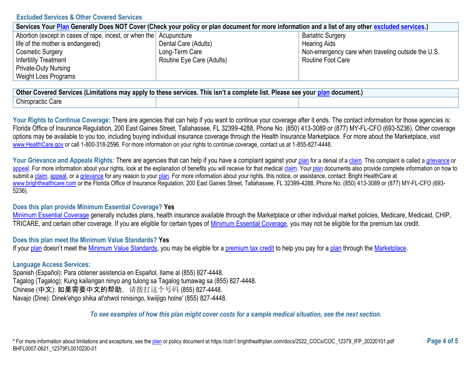#### **Excluded Services & Other Covered Services**

| Services Your Plan Generally Does NOT Cover (Check your policy or plan document for more information and a list of any other excluded services.) |                           |                                                    |  |
|--------------------------------------------------------------------------------------------------------------------------------------------------|---------------------------|----------------------------------------------------|--|
| Abortion (except in cases of rape, incest, or when the Acupuncture                                                                               |                           | <b>Bariatric Surgery</b>                           |  |
| life of the mother is endangered)                                                                                                                | Dental Care (Adults)      | <b>Hearing Aids</b>                                |  |
| <b>Cosmetic Surgery</b>                                                                                                                          | Long-Term Care            | Non-emergency care when traveling outside the U.S. |  |
| <b>Infertility Treatment</b>                                                                                                                     | Routine Eye Care (Adults) | Routine Foot Care                                  |  |
| <b>Private-Duty Nursing</b>                                                                                                                      |                           |                                                    |  |
| <b>Weight Loss Programs</b>                                                                                                                      |                           |                                                    |  |

| <b>Other</b><br>r Covered Services (Limitations may apply to these services. This isn't a complete list. Please see your plan document.) |  |  |  |
|------------------------------------------------------------------------------------------------------------------------------------------|--|--|--|
| Care<br>Chiropractic                                                                                                                     |  |  |  |

Your Rights to Continue Coverage: There are agencies that can help if you want to continue your coverage after it ends. The contact information for those agencies is: Florida Office of Insurance Regulation, 200 East Gaines Street, Tallahassee, FL 32399-4288, Phone No. (850) 413-3089 or (877) MY-FL-CFO (693-5236). Other coverage options may be available to you too, including buying individual insurance coverage through the Health Insurance Marketplace. For more about the Marketplace, visit [www.HealthCare.gov](https://www.healthcare.gov/) or call 1-800-318-2596. For more information on your rights to continue coverage, contact us at 1-855-827-4448.

Your Grievance and Appeals Rights: There are agencies that can help if you have a complaint against your [plan](https://www.healthcare.gov/sbc-glossary/#plan) for a denial of [a claim.](https://www.healthcare.gov/sbc-glossary/#claim) This complaint is called a [grievance](https://www.healthcare.gov/sbc-glossary/#grievance) or [appeal.](https://www.healthcare.gov/sbc-glossary/#appeal) For more information about your rights, look at the explanation of benefits you will receive for that medical [claim.](https://www.healthcare.gov/sbc-glossary/#claim) You[r plan](https://www.healthcare.gov/sbc-glossary/#plan) documents also provide complete information on how to submit a [claim,](https://www.healthcare.gov/sbc-glossary/#claim) [appeal,](https://www.healthcare.gov/sbc-glossary/#appeal) or [a grievance](https://www.healthcare.gov/sbc-glossary/#grievance) for any reason to your [plan.](https://www.healthcare.gov/sbc-glossary/#plan) For more information about your rights, this notice, or assistance, contact: Bright HealthCare at [www.brighthealthcare.com](https://www.brighthealthcare.com/) or the Florida Office of Insurance Regulation, 200 East Gaines Street, Tallahassee, FL 32399-4288, Phone No. (850) 413-3089 or (877) MY-FL-CFO (693- 5236).

# **Does this plan provide Minimum Essential Coverage? Yes**

[Minimum Essential Coverage](https://www.healthcare.gov/sbc-glossary/#minimum-essential-coverage) generally includes plans, health insurance available through the Marketplace or other individual market policies, Medicare, Medicaid, CHIP, TRICARE, and certain other coverage. If you are eligible for certain types of [Minimum Essential Coverage,](https://www.healthcare.gov/sbc-glossary/#minimum-essential-coverage) you may not be eligible for the premium tax credit.

#### **Does this plan meet the Minimum Value Standards? Yes**

If you[r plan](https://www.healthcare.gov/sbc-glossary/#plan) doesn't meet the [Minimum Value Standards,](https://www.healthcare.gov/sbc-glossary/#minimum-value-standard) you may be eligible for a [premium tax credit](https://www.healthcare.gov/sbc-glossary/#premium-tax-credits) to help you pay for a [plan](https://www.healthcare.gov/sbc-glossary/#plan) through the [Marketplace.](https://www.healthcare.gov/sbc-glossary/#marketplace)

# **Language Access Services:**

Spanish (Español): Para obtener asistencia en Español, llame al (855) 827-4448. Tagalog (Tagalog): Kung kailangan ninyo ang tulong sa Tagalog tumawag sa (855) 827-4448. Chinese (中文): 如果需要中文的帮助,请拨打这个号码 (855) 827-4448. Navajo (Dine): Dinek'ehgo shika at'ohwol ninisingo, kwiijigo holne' (855) 827-4448.

# *To see examples of how this plan might cover costs for a sample medical situation, see the next section.*